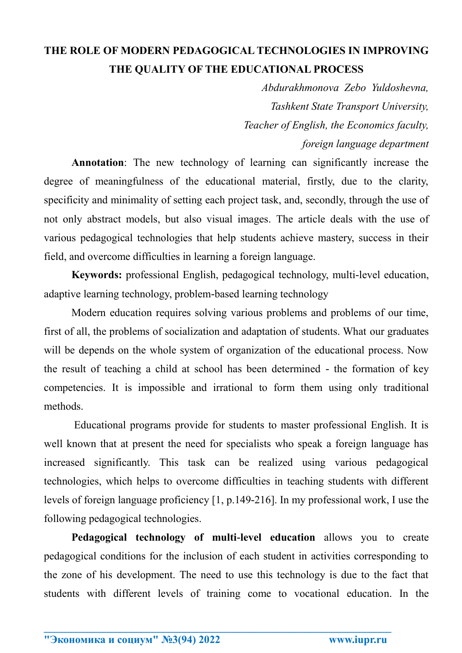## **THE ROLE OF MODERN PEDAGOGICAL TECHNOLOGIES IN IMPROVING THE QUALITY OF THE EDUCATIONAL PROCESS**

*Abdurakhmonova Zebo Yuldoshevna, Tashkent State Transport University, Teacher of English, the Economics faculty, foreign language department*

**Annotation**: The new technology of learning can significantly increase the degree of meaningfulness of the educational material, firstly, due to the clarity, specificity and minimality of setting each project task, and, secondly, through the use of not only abstract models, but also visual images. The article deals with the use of various pedagogical technologies that help students achieve mastery, success in their field, and overcome difficulties in learning a foreign language.

**Keywords:** professional English, pedagogical technology, multi-level education, adaptive learning technology, problem-based learning technology

Modern education requires solving various problems and problems of our time, first of all, the problems of socialization and adaptation of students. What our graduates will be depends on the whole system of organization of the educational process. Now the result of teaching a child at school has been determined - the formation of key competencies. It is impossible and irrational to form them using only traditional methods.

Educational programs provide for students to master professional English. It is well known that at present the need for specialists who speak a foreign language has increased significantly. This task can be realized using various pedagogical technologies, which helps to overcome difficulties in teaching students with different levels of foreign language proficiency [1, p.149-216]. In my professional work, I use the following pedagogical technologies.

**Pedagogical technology of multi-level education** allows you to create pedagogical conditions for the inclusion of each student in activities corresponding to the zone of his development. The need to use this technology is due to the fact that students with different levels of training come to vocational education. In the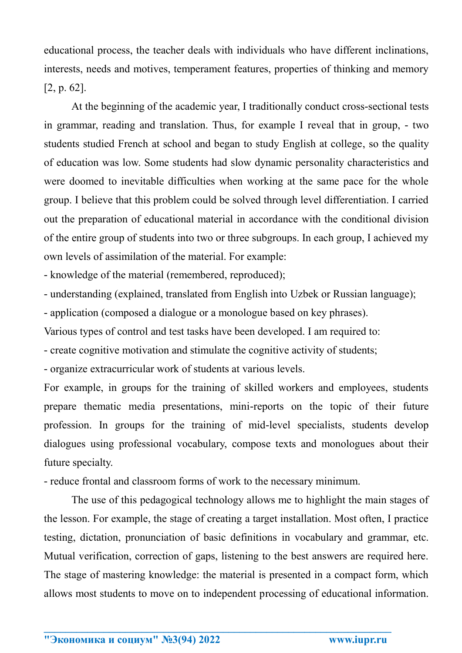educational process, the teacher deals with individuals who have different inclinations, interests, needs and motives, temperament features, properties of thinking and memory [2, p. 62].

At the beginning of the academic year, I traditionally conduct cross-sectional tests in grammar, reading and translation. Thus, for example I reveal that in group, - two students studied French at school and began to study English at college, so the quality of education was low. Some students had slow dynamic personality characteristics and were doomed to inevitable difficulties when working at the same pace for the whole group. I believe that this problem could be solved through level differentiation. I carried out the preparation of educational material in accordance with the conditional division of the entire group of students into two or three subgroups. In each group, I achieved my own levels of assimilation of the material. For example:

- knowledge of the material (remembered, reproduced);

- understanding (explained, translated from English into Uzbek or Russian language);

- application (composed a dialogue or a monologue based on key phrases).

Various types of control and test tasks have been developed. I am required to:

- create cognitive motivation and stimulate the cognitive activity of students;

- organize extracurricular work of students at various levels.

For example, in groups for the training of skilled workers and employees, students prepare thematic media presentations, mini-reports on the topic of their future profession. In groups for the training of mid-level specialists, students develop dialogues using professional vocabulary, compose texts and monologues about their future specialty.

- reduce frontal and classroom forms of work to the necessary minimum.

The use of this pedagogical technology allows me to highlight the main stages of the lesson. For example, the stage of creating a target installation. Most often, I practice testing, dictation, pronunciation of basic definitions in vocabulary and grammar, etc. Mutual verification, correction of gaps, listening to the best answers are required here. The stage of mastering knowledge: the material is presented in a compact form, which allows most students to move on to independent processing of educational information.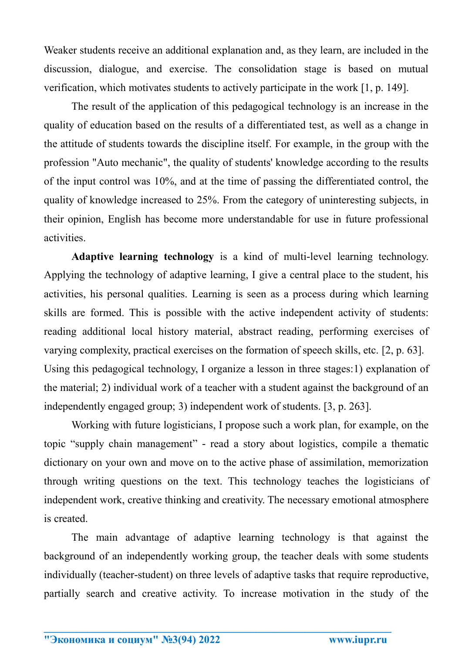Weaker students receive an additional explanation and, as they learn, are included in the discussion, dialogue, and exercise. The consolidation stage is based on mutual verification, which motivates students to actively participate in the work [1, p. 149].

The result of the application of this pedagogical technology is an increase in the quality of education based on the results of a differentiated test, as well as a change in the attitude of students towards the discipline itself. For example, in the group with the profession "Auto mechanic", the quality of students' knowledge according to the results of the input control was 10%, and at the time of passing the differentiated control, the quality of knowledge increased to 25%. From the category of uninteresting subjects, in their opinion, English has become more understandable for use in future professional activities.

**Adaptive learning technology** is a kind of multi-level learning technology. Applying the technology of adaptive learning, I give a central place to the student, his activities, his personal qualities. Learning is seen as a process during which learning skills are formed. This is possible with the active independent activity of students: reading additional local history material, abstract reading, performing exercises of varying complexity, practical exercises on the formation of speech skills, etc. [2, p. 63]. Using this pedagogical technology, I organize a lesson in three stages:1) explanation of the material; 2) individual work of a teacher with a student against the background of an independently engaged group; 3) independent work of students. [3, p. 263].

Working with future logisticians, I propose such a work plan, for example, on the topic "supply chain management" - read a story about logistics, compile a thematic dictionary on your own and move on to the active phase of assimilation, memorization through writing questions on the text. This technology teaches the logisticians of independent work, creative thinking and creativity. The necessary emotional atmosphere is created.

The main advantage of adaptive learning technology is that against the background of an independently working group, the teacher deals with some students individually (teacher-student) on three levels of adaptive tasks that require reproductive, partially search and creative activity. To increase motivation in the study of the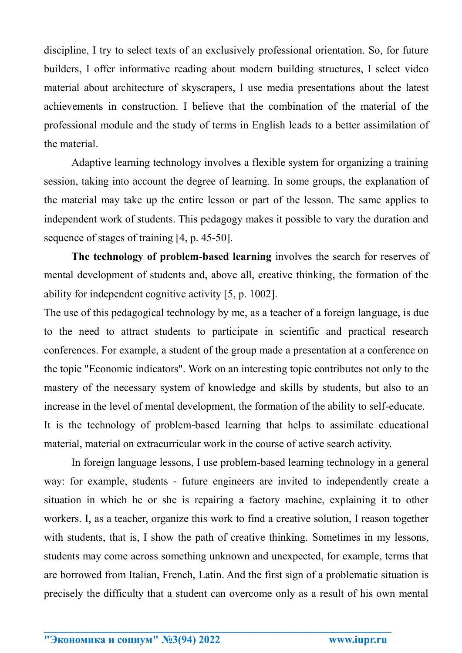discipline, I try to select texts of an exclusively professional orientation. So, for future builders, I offer informative reading about modern building structures, I select video material about architecture of skyscrapers, I use media presentations about the latest achievements in construction. I believe that the combination of the material of the professional module and the study of terms in English leads to a better assimilation of the material.

Adaptive learning technology involves a flexible system for organizing a training session, taking into account the degree of learning. In some groups, the explanation of the material may take up the entire lesson or part of the lesson. The same applies to independent work of students. This pedagogy makes it possible to vary the duration and sequence of stages of training [4, p. 45-50].

**The technology of problem-based learning** involves the search for reserves of mental development of students and, above all, creative thinking, the formation of the ability for independent cognitive activity [5, p. 1002].

The use of this pedagogical technology by me, as a teacher of a foreign language, is due to the need to attract students to participate in scientific and practical research conferences. For example, a student of the group made a presentation at a conference on the topic "Economic indicators". Work on an interesting topic contributes not only to the mastery of the necessary system of knowledge and skills by students, but also to an increase in the level of mental development, the formation of the ability to self-educate. It is the technology of problem-based learning that helps to assimilate educational material, material on extracurricular work in the course of active search activity.

In foreign language lessons, I use problem-based learning technology in a general way: for example, students - future engineers are invited to independently create a situation in which he or she is repairing a factory machine, explaining it to other workers. I, as a teacher, organize this work to find a creative solution, I reason together with students, that is, I show the path of creative thinking. Sometimes in my lessons, students may come across something unknown and unexpected, for example, terms that are borrowed from Italian, French, Latin. And the first sign of a problematic situation is precisely the difficulty that a student can overcome only as a result of his own mental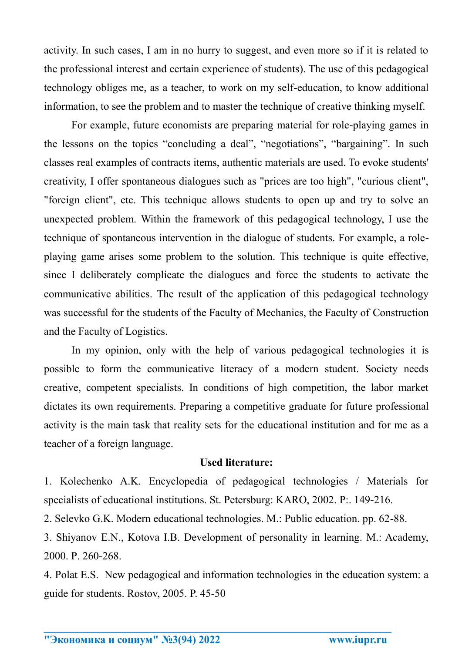activity. In such cases, I am in no hurry to suggest, and even more so if it is related to the professional interest and certain experience of students). The use of this pedagogical technology obliges me, as a teacher, to work on my self-education, to know additional information, to see the problem and to master the technique of creative thinking myself.

For example, future economists are preparing material for role-playing games in the lessons on the topics "concluding a deal", "negotiations", "bargaining". In such classes real examples of contracts items, authentic materials are used. To evoke students' creativity, I offer spontaneous dialogues such as "prices are too high", "curious client", "foreign client", etc. This technique allows students to open up and try to solve an unexpected problem. Within the framework of this pedagogical technology, I use the technique of spontaneous intervention in the dialogue of students. For example, a roleplaying game arises some problem to the solution. This technique is quite effective, since I deliberately complicate the dialogues and force the students to activate the communicative abilities. The result of the application of this pedagogical technology was successful for the students of the Faculty of Mechanics, the Faculty of Construction and the Faculty of Logistics.

In my opinion, only with the help of various pedagogical technologies it is possible to form the communicative literacy of a modern student. Society needs creative, competent specialists. In conditions of high competition, the labor market dictates its own requirements. Preparing a competitive graduate for future professional activity is the main task that reality sets for the educational institution and for me as a teacher of a foreign language.

## **Used literature:**

1. Kolechenko A.K. Encyclopedia of pedagogical technologies / Materials for specialists of educational institutions. St. Petersburg: KARO, 2002. P:. 149-216.

2. Selevko G.K. Modern educational technologies. M.: Public education. pp. 62-88.

3. Shiyanov E.N., Kotova I.B. Development of personality in learning. M.: Academy, 2000. P. 260-268.

4. Polat E.S. New pedagogical and information technologies in the education system: a guide for students. Rostov, 2005. P. 45-50